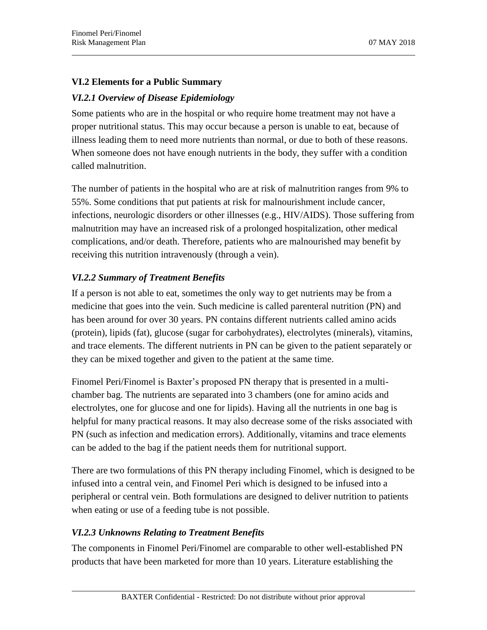## **VI.2 Elements for a Public Summary**

## *VI.2.1 Overview of Disease Epidemiology*

Some patients who are in the hospital or who require home treatment may not have a proper nutritional status. This may occur because a person is unable to eat, because of illness leading them to need more nutrients than normal, or due to both of these reasons. When someone does not have enough nutrients in the body, they suffer with a condition called malnutrition.

The number of patients in the hospital who are at risk of malnutrition ranges from 9% to 55%. Some conditions that put patients at risk for malnourishment include cancer, infections, neurologic disorders or other illnesses (e.g., HIV/AIDS). Those suffering from malnutrition may have an increased risk of a prolonged hospitalization, other medical complications, and/or death. Therefore, patients who are malnourished may benefit by receiving this nutrition intravenously (through a vein).

## *VI.2.2 Summary of Treatment Benefits*

If a person is not able to eat, sometimes the only way to get nutrients may be from a medicine that goes into the vein. Such medicine is called parenteral nutrition (PN) and has been around for over 30 years. PN contains different nutrients called amino acids (protein), lipids (fat), glucose (sugar for carbohydrates), electrolytes (minerals), vitamins, and trace elements. The different nutrients in PN can be given to the patient separately or they can be mixed together and given to the patient at the same time.

Finomel Peri/Finomel is Baxter's proposed PN therapy that is presented in a multichamber bag. The nutrients are separated into 3 chambers (one for amino acids and electrolytes, one for glucose and one for lipids). Having all the nutrients in one bag is helpful for many practical reasons. It may also decrease some of the risks associated with PN (such as infection and medication errors). Additionally, vitamins and trace elements can be added to the bag if the patient needs them for nutritional support.

There are two formulations of this PN therapy including Finomel, which is designed to be infused into a central vein, and Finomel Peri which is designed to be infused into a peripheral or central vein. Both formulations are designed to deliver nutrition to patients when eating or use of a feeding tube is not possible.

#### *VI.2.3 Unknowns Relating to Treatment Benefits*

The components in Finomel Peri/Finomel are comparable to other well-established PN products that have been marketed for more than 10 years. Literature establishing the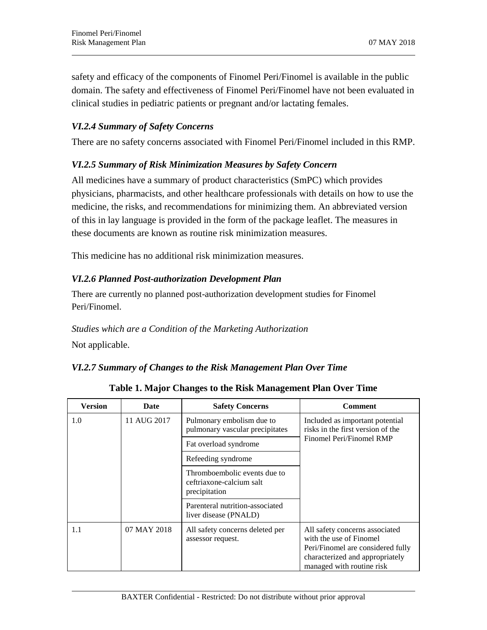safety and efficacy of the components of Finomel Peri/Finomel is available in the public domain. The safety and effectiveness of Finomel Peri/Finomel have not been evaluated in clinical studies in pediatric patients or pregnant and/or lactating females.

## *VI.2.4 Summary of Safety Concerns*

There are no safety concerns associated with Finomel Peri/Finomel included in this RMP.

#### *VI.2.5 Summary of Risk Minimization Measures by Safety Concern*

All medicines have a summary of product characteristics (SmPC) which provides physicians, pharmacists, and other healthcare professionals with details on how to use the medicine, the risks, and recommendations for minimizing them. An abbreviated version of this in lay language is provided in the form of the package leaflet. The measures in these documents are known as routine risk minimization measures.

This medicine has no additional risk minimization measures.

#### *VI.2.6 Planned Post-authorization Development Plan*

There are currently no planned post-authorization development studies for Finomel Peri/Finomel.

# *Studies which are a Condition of the Marketing Authorization* Not applicable.

#### *VI.2.7 Summary of Changes to the Risk Management Plan Over Time*

| Version | Date        | <b>Safety Concerns</b>                                                    | <b>Comment</b>                                                                                                                                                 |
|---------|-------------|---------------------------------------------------------------------------|----------------------------------------------------------------------------------------------------------------------------------------------------------------|
| 1.0     | 11 AUG 2017 | Pulmonary embolism due to<br>pulmonary vascular precipitates              | Included as important potential<br>risks in the first version of the<br>Finomel Peri/Finomel RMP                                                               |
|         |             | Fat overload syndrome                                                     |                                                                                                                                                                |
|         |             | Refeeding syndrome                                                        |                                                                                                                                                                |
|         |             | Thromboembolic events due to<br>ceftriaxone-calcium salt<br>precipitation |                                                                                                                                                                |
|         |             | Parenteral nutrition-associated<br>liver disease (PNALD)                  |                                                                                                                                                                |
| 1.1     | 07 MAY 2018 | All safety concerns deleted per<br>assessor request.                      | All safety concerns associated<br>with the use of Finomel<br>Peri/Finomel are considered fully<br>characterized and appropriately<br>managed with routine risk |

**Table 1. Major Changes to the Risk Management Plan Over Time**